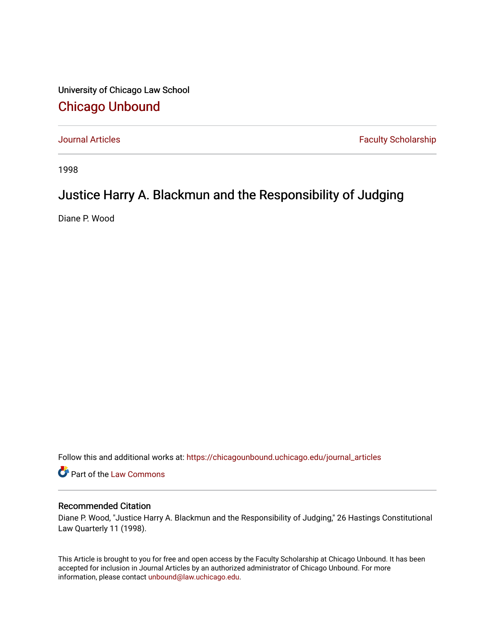University of Chicago Law School [Chicago Unbound](https://chicagounbound.uchicago.edu/)

[Journal Articles](https://chicagounbound.uchicago.edu/journal_articles) **Faculty Scholarship Faculty Scholarship** 

1998

## Justice Harry A. Blackmun and the Responsibility of Judging

Diane P. Wood

Follow this and additional works at: [https://chicagounbound.uchicago.edu/journal\\_articles](https://chicagounbound.uchicago.edu/journal_articles?utm_source=chicagounbound.uchicago.edu%2Fjournal_articles%2F2052&utm_medium=PDF&utm_campaign=PDFCoverPages) 

Part of the [Law Commons](http://network.bepress.com/hgg/discipline/578?utm_source=chicagounbound.uchicago.edu%2Fjournal_articles%2F2052&utm_medium=PDF&utm_campaign=PDFCoverPages)

## Recommended Citation

Diane P. Wood, "Justice Harry A. Blackmun and the Responsibility of Judging," 26 Hastings Constitutional Law Quarterly 11 (1998).

This Article is brought to you for free and open access by the Faculty Scholarship at Chicago Unbound. It has been accepted for inclusion in Journal Articles by an authorized administrator of Chicago Unbound. For more information, please contact [unbound@law.uchicago.edu](mailto:unbound@law.uchicago.edu).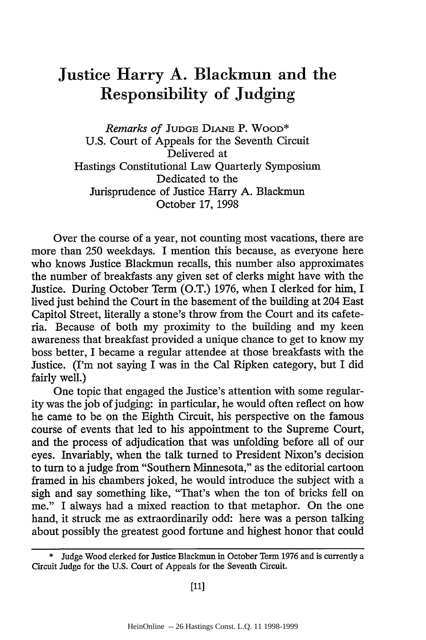## Justice Harry **A.** Blackmun and the Responsibility of Judging

*Remarks of* **JUDGE** DIANE P. WOOD\* U.S. Court of Appeals for the Seventh Circuit Delivered at Hastings Constitutional Law Quarterly Symposium Dedicated to the Jurisprudence of Justice Harry A. Blackmun October 17, 1998

Over the course of a year, not counting most vacations, there are more than 250 weekdays. I mention this because, as everyone here who knows Justice Blackmun recalls, this number also approximates the number of breakfasts any given set of clerks might have with the Justice. During October Term (O.T.) 1976, when I clerked for him, I lived just behind the Court in the basement of the building at 204 East Capitol Street, literally a stone's throw from the Court and its cafeteria. Because of both my proximity to the building and my keen awareness that breakfast provided a unique chance to get to know my boss better, I became a regular attendee at those breakfasts with the Justice. (I'm not saying I was in the Cal Ripken category, but I did fairly well.)

One topic that engaged the Justice's attention with some regularity was the job of judging: in particular, he would often reflect on how he came to be on the Eighth Circuit, his perspective on the famous course of events that led to his appointment to the Supreme Court, and the process of adjudication that was unfolding before all of our eyes. Invariably, when the talk turned to President Nixon's decision to turn to a judge from "Southern Minnesota," as the editorial cartoon framed in his chambers joked, he would introduce the subject with a sigh and say something like, "That's when the ton of bricks fell on me." I always had a mixed reaction to that metaphor. On the one hand, it struck me as extraordinarily odd: here was a person talking about possibly the greatest good fortune and highest honor that could

Judge Wood clerked for Justice Blackmun in October Term 1976 and is currently a Circuit Judge for the U.S. Court of Appeals for the Seventh Circuit.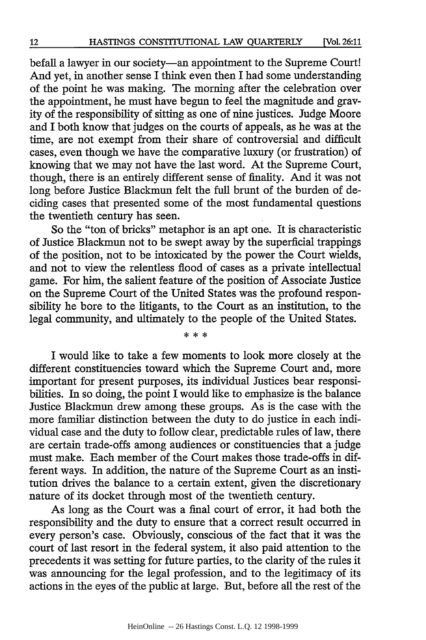befall a lawyer in our society-an appointment to the Supreme Court! And yet, in another sense I think even then I had some understanding of the point he was making. The morning after the celebration over the appointment, he must have begun to feel the magnitude and gravity of the responsibility of sitting as one of nine justices. Judge Moore and I both know that judges on the courts of appeals, as he was at the time, are not exempt from their share of controversial and difficult cases, even though we have the comparative luxury (or frustration) of knowing that we may not have the last word. At the Supreme Court, though, there is an entirely different sense of finality. And it was not long before Justice Blackmun felt the full brunt of the burden of deciding cases that presented some of the most fundamental questions the twentieth century has seen.

So the "ton of bricks" metaphor is an apt one. It is characteristic of Justice Blackmun not to be swept away by the superficial trappings of the position, not to be intoxicated by the power the Court wields, and not to view the relentless flood of cases as a private intellectual game. For him, the salient feature of the position of Associate Justice on the Supreme Court of the United States was the profound responsibility he bore to the litigants, to the Court as an institution, to the legal community, and ultimately to the people of the United States.

\* \* \*

I would like to take a few moments to look more closely at the different constituencies toward which the Supreme Court and, more important for present purposes, its individual Justices bear responsibilities. In so doing, the point I would like to emphasize is the balance Justice Blackmun drew among these groups. As is the case with the more familiar distinction between the duty to do justice in each individual case and the duty to follow clear, predictable rules of law, there are certain trade-offs among audiences or constituencies that a judge must make. Each member of the Court makes those trade-offs in different ways. In addition, the nature of the Supreme Court as an institution drives the balance to a certain extent, given the discretionary nature of its docket through most of the twentieth century.

As long as the Court was a final court of error, it had both the responsibility and the duty to ensure that a correct result occurred in every person's case. Obviously, conscious of the fact that it was the court of last resort in the federal system, it also paid attention to the precedents it was setting for future parties, to the clarity of the rules it was announcing for the legal profession, and to the legitimacy of its actions in the eyes of the public at large. But, before all the rest of the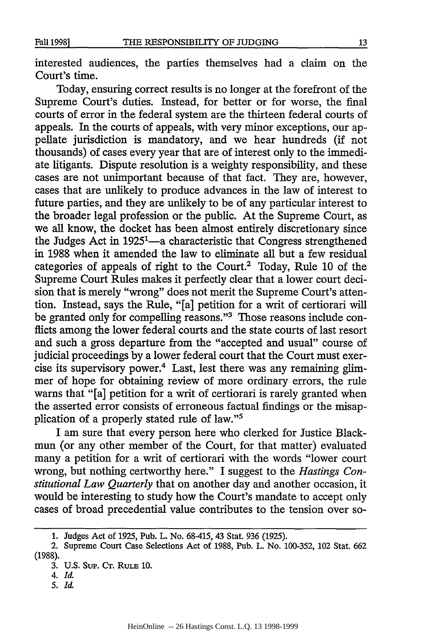interested audiences, the parties themselves had a claim on the Court's time.

Today, ensuring correct results is no longer at the forefront of the Supreme Court's duties. Instead, for better or for worse, the final courts of error in the federal system are the thirteen federal courts of appeals. In the courts of appeals, with very minor exceptions, our appellate jurisdiction is mandatory, and we hear hundreds (if not thousands) of cases every year that are of interest only to the immediate litigants. Dispute resolution is a weighty responsibility, and these cases are not unimportant because of that fact. They are, however, cases that are unlikely to produce advances in the law of interest to future parties, and they are unlikely to be of any particular interest to the broader legal profession or the public. At the Supreme Court, as we all know, the docket has been almost entirely discretionary since the Judges Act in 1925<sup>1</sup>—a characteristic that Congress strengthened in 1988 when it amended the law to eliminate all but a few residual categories of appeals of right to the Court.<sup>2</sup> Today, Rule 10 of the Supreme Court Rules makes it perfectly clear that a lower court decision that is merely "wrong" does not merit the Supreme Court's attention. Instead, says the Rule, "[a] petition for a writ of certiorari will be granted only for compelling reasons."<sup>3</sup> Those reasons include confficts among the lower federal courts and the state courts of last resort and such a gross departure from the "accepted and usual" course of judicial proceedings by a lower federal court that the Court must exercise its supervisory power.4 Last, lest there was any remaining glimmer of hope for obtaining review of more ordinary errors, the rule warns that "[a] petition for a writ of certiorari is rarely granted when the asserted error consists of erroneous factual findings or the misapplication of a properly stated rule of law."5

I am sure that every person here who clerked for Justice Blackmun (or any other member of the Court, for that matter) evaluated many a petition for a writ of certiorari with the words "lower court wrong, but nothing certworthy here." I suggest to the *Hastings Constitutional Law Quarterly* that on another day and another occasion, it would be interesting to study how the Court's mandate to accept only cases of broad precedential value contributes to the tension over so-

**5.** Id.

**<sup>1.</sup>** Judges Act of **1925,** Pub. L. No. **68-415,** 43 Stat. **936 (1925).**

<sup>2.</sup> Supreme Court Case Selections Act of **1988,** Pub. L. No. **100-352,** 102 Stat. **662 (1988).**

<sup>3.</sup> U.S. Sup. **CT.** RuLE **10.**

<sup>4.</sup> *Id.*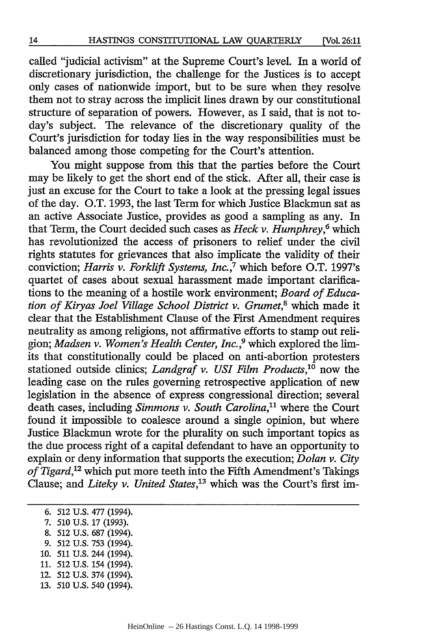called "judicial activism" at the Supreme Court's level. In a world of discretionary jurisdiction, the challenge for the Justices is to accept only cases of nationwide import, but to be sure when they resolve them not to stray across the implicit lines drawn by our constitutional structure of separation of powers. However, as I said, that is not today's subject. The relevance of the discretionary quality of the Court's jurisdiction for today lies in the way responsibilities must be balanced among those competing for the Court's attention.

You might suppose from this that the parties before the Court may be likely to get the short end of the stick. After all, their case is just an excuse for the Court to take a look at the pressing legal issues of the day. O.T. 1993, the last Term for which Justice Blackmun sat as an active Associate Justice, provides as good a sampling as any. In that Term, the Court decided such cases as *Heck v. Humphrey,6* which has revolutionized the access of prisoners to relief under the civil rights statutes for grievances that also implicate the validity of their conviction; *Harris v. Forklift Systems, Inc.,7* which before O.T. 1997's quartet of cases about sexual harassment made important clarifications to the meaning of a hostile work environment; *Board of Education of Kiryas Joel Village School District v. Grumet,8* which made it clear that the Establishment Clause of the First Amendment requires neutrality as among religions, not affirmative efforts to stamp out religion; *Madsen v. Women's Health Center, Inc.,9* which explored the limits that constitutionally could be placed on anti-abortion protesters stationed outside clinics; *Landgraf v. USI Film Products,10* now the leading case on the rules governing retrospective application of new legislation in the absence of express congressional direction; several death cases, including *Simmons v. South Carolina*,<sup>11</sup> where the Court found it impossible to coalesce around a single opinion, but where Justice Blackmun wrote for the plurality on such important topics as the due process right of a capital defendant to have an opportunity to explain or deny information that supports the execution; *Dolan v. City* of Tigard,<sup>12</sup> which put more teeth into the Fifth Amendment's Takings Clause; and *Liteky v. United States,'3* which was the Court's first im-

- 8. 512 U.S. 687 (1994).
- 9. 512 U.S. 753 (1994).
- **10.** 511 U.S. 244 (1994).
- 11. 512 U.S. 154 (1994).
- 12. 512 U.S. 374 (1994).
- 13. 510 U.S. 540 (1994).

<sup>6. 512</sup> U.S. 477 (1994).

*<sup>7.</sup>* **510** U.S. 17 (1993).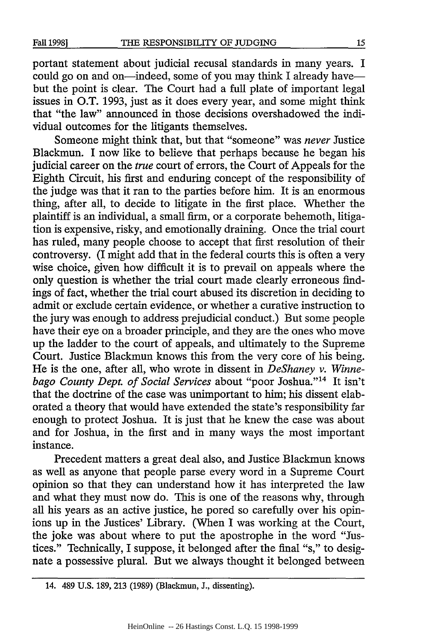portant statement about judicial recusal standards in many years. I could go on and on-indeed, some of you may think I already havebut the point is clear. The Court had a full plate of important legal issues in O.T. 1993, just as it does every year, and some might think that "the law" announced in those decisions overshadowed the individual outcomes for the litigants themselves.

Someone might think that, but that "someone" was *never* Justice Blackmun. I now like to believe that perhaps because he began his judicial career on the *true* court of errors, the Court of Appeals for the Eighth Circuit, his first and enduring concept of the responsibility of the judge was that it ran to the parties before him. It is an enormous thing, after all, to decide to litigate in the first place. Whether the plaintiff is an individual, a small firm, or a corporate behemoth, litigation is expensive, risky, and emotionally draining. Once the trial court has ruled, many people choose to accept that first resolution of their controversy. (I might add that in the federal courts this is often a very wise choice, given how difficult it is to prevail on appeals where the only question is whether the trial court made clearly erroneous findings of fact, whether the trial court abused its discretion in deciding to admit or exclude certain evidence, or whether a curative instruction to the jury was enough to address prejudicial conduct.) But some people have their eye on a broader principle, and they are the ones who move up the ladder to the court of appeals, and ultimately to the Supreme Court. Justice Blackmun knows this from the very core of his being. He is the one, after all, who wrote in dissent in *DeShaney v. Winne*bago County Dept. of Social Services about "poor Joshua."<sup>14</sup> It isn't that the doctrine of the case was unimportant to him; his dissent elaborated a theory that would have extended the state's responsibility far enough to protect Joshua. It is just that he knew the case was about and for Joshua, in the first and in many ways the most important instance.

Precedent matters a great deal also, and Justice Blackmun knows as well as anyone that people parse every word in a Supreme Court opinion so that they can understand how it has interpreted the law and what they must now do. This is one of the reasons why, through all his years as an active justice, he pored so carefully over his opinions up in the Justices' Library. (When I was working at the Court, the joke was about where to put the apostrophe in the word "Justices." Technically, I suppose, it belonged after the final "s," to designate a possessive plural. But we always thought it belonged between

<sup>14. 489</sup> **U.S. 189, 213 (1989)** (Blackmun, **J.,** dissenting).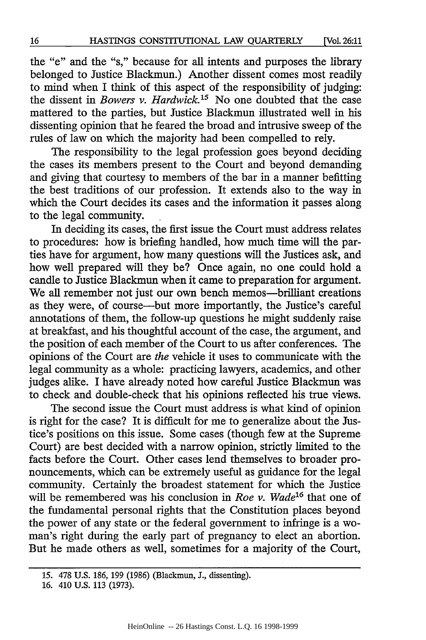the "e" and the "s," because for all intents and purposes the library belonged to Justice Blackmun.) Another dissent comes most readily to mind when I think of this aspect of the responsibility of judging: the dissent in *Bowers v. Hardwick*<sup>15</sup> No one doubted that the case mattered to the parties, but Justice Blackmun illustrated well in his dissenting opinion that he feared the broad and intrusive sweep of the rules of law on which the majority had been compelled to rely.

The responsibility to the legal profession goes beyond deciding the cases its members present to the Court and beyond demanding and giving that courtesy to members of the bar in a manner befitting the best traditions of our profession. It extends also to the way in which the Court decides its cases and the information it passes along to the legal community.

In deciding its cases, the first issue the Court must address relates to procedures: how is briefing handled, how much time will the parties have for argument, how many questions will the Justices ask, and how well prepared will they be? Once again, no one could hold a candle to Justice Blackmun when it came to preparation for argument. We all remember not just our own bench memos-brilliant creations as they were, of course-but more importantly, the Justice's careful annotations of them, the follow-up questions he might suddenly raise at breakfast, and his thoughtful account of the case, the argument, and the position of each member of the Court to us after conferences. The opinions of the Court are *the* vehicle it uses to communicate with the legal community as a whole: practicing lawyers, academics, and other judges alike. I have already noted how careful Justice Blackmun was to check and double-check that his opinions reflected his true views.

The second issue the Court must address is what kind of opinion is right for the case? It is difficult for me to generalize about the Justice's positions on this issue. Some cases (though few at the Supreme Court) are best decided with a narrow opinion, strictly limited to the facts before the Court. Other cases lend themselves to broader pronouncements, which can be extremely useful as guidance for the legal community. Certainly the broadest statement for which the Justice will be remembered was his conclusion in *Roe v. Wade*<sup>16</sup> that one of the fundamental personal rights that the Constitution places beyond the power of any state or the federal government to infringe is a woman's right during the early part of pregnancy to elect an abortion. But he made others as well, sometimes for a majority of the Court,

<sup>15.</sup> **478 U.S. 186, 199 (1986)** (Blackmun, **J.,** dissenting).

**<sup>16. 410</sup> U.S. 113 (1973).**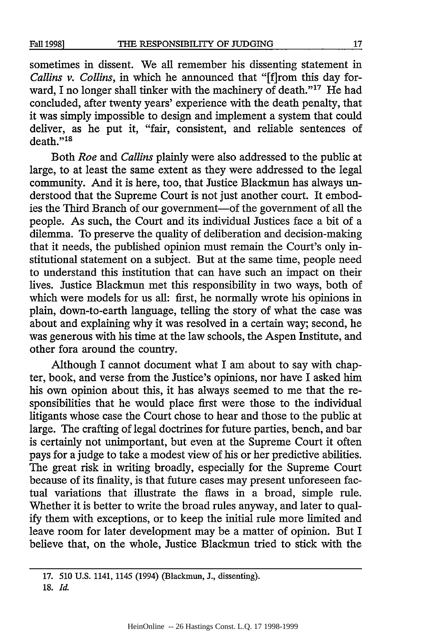sometimes in dissent. We all remember his dissenting statement in *Callins v. Collins,* in which he announced that "[f]rom this day forward, I no longer shall tinker with the machinery of death."<sup>17</sup> He had concluded, after twenty years' experience with the death penalty, that it was simply impossible to design and implement a system that could deliver, as he put it, "fair, consistent, and reliable sentences of death."<sup>18</sup>

Both *Roe* and *Callins* plainly were also addressed to the public at large, to at least the same extent as they were addressed to the legal community. And it is here, too, that Justice Blackmun has always understood that the Supreme Court is not just another court. It embodies the Third Branch of our government-of the government of all the people. As such, the Court and its individual Justices face a bit of a dilemma. To preserve the quality of deliberation and decision-making that it needs, the published opinion must remain the Court's only institutional statement on a subject. But at the same time, people need to understand this institution that can have such an impact on their lives. Justice Blackmun met this responsibility in two ways, both of which were models for us all: first, he normally wrote his opinions in plain, down-to-earth language, telling the story of what the case was about and explaining why it was resolved in a certain way; second, he was generous with his time at the law schools, the Aspen Institute, and other fora around the country.

Although I cannot document what I am about to say with chapter, book, and verse from the Justice's opinions, nor have I asked him his own opinion about this, it has always seemed to me that the responsibilities that he would place first were those to the individual litigants whose case the Court chose to hear and those to the public at large. The crafting of legal doctrines for future parties, bench, and bar is certainly not unimportant, but even at the Supreme Court it often pays for a judge to take a modest view of his or her predictive abilities. The great risk in writing broadly, especially for the Supreme Court because of its finality, is that future cases may present unforeseen factual variations that illustrate the flaws in a broad, simple rule. Whether it is better to write the broad rules anyway, and later to qualify them with exceptions, or to keep the initial rule more limited and leave room for later development may be a matter of opinion. But I believe that, on the whole, Justice Blackmun tried to stick with the

**<sup>17. 510</sup>** U.S. 1141, 1145 (1994) (Blackmun, **J.,** dissenting).

**<sup>18.</sup>** *Id.*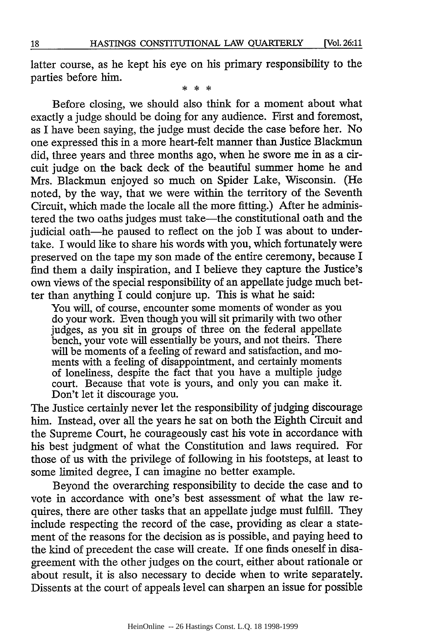latter course, as he kept his eye on his primary responsibility to the parties before him.

 $\frac{1}{2}$   $\frac{1}{2}$   $\frac{1}{2}$   $\frac{1}{2}$   $\frac{1}{2}$ 

Before closing, we should also think for a moment about what exactly a judge should be doing for any audience. First and foremost, as I have been saying, the judge must decide the case before her. No one expressed this in a more heart-felt manner than Justice Blackmun did, three years and three months ago, when he swore me in as a circuit judge on the back deck of the beautiful summer home he and Mrs. Blackmun enjoyed so much on Spider Lake, Wisconsin. (He noted, by the way, that we were within the territory of the Seventh Circuit, which made the locale all the more fitting.) After he administered the two oaths judges must take-the constitutional oath and the judicial oath-he paused to reflect on the job I was about to undertake. I would like to share his words with you, which fortunately were preserved on the tape my son made of the entire ceremony, because I find them a daily inspiration, and I believe they capture the Justice's own views of the special responsibility of an appellate judge much better than anything I could conjure up. This is what he said:

You will, of course, encounter some moments of wonder as you do your work. Even though you will sit primarily with two other judges, as you sit in groups of three on the federal appellate bench, your vote will essentially be yours, and not theirs. There will be moments of a feeling of reward and satisfaction, and moments with a feeling of disappointment, and certainly moments of loneliness, despite the fact that you have a multiple judge court. Because that vote is yours, and only you can make it. Don't let it discourage you.

The Justice certainly never let the responsibility of judging discourage him. Instead, over all the years he sat on both the Eighth Circuit and the Supreme Court, he courageously cast his vote in accordance with his best judgment of what the Constitution and laws required. For those of us with the privilege of following in his footsteps, at least to some limited degree, I can imagine no better example.

Beyond the overarching responsibility to decide the case and to vote in accordance with one's best assessment of what the law requires, there are other tasks that an appellate judge must fulfill. They include respecting the record of the case, providing as clear a statement of the reasons for the decision as is possible, and paying heed to the kind of precedent the case will create. If one finds oneself in disagreement with the other judges on the court, either about rationale or about result, it is also necessary to decide when to write separately. Dissents at the court of appeals level can sharpen an issue for possible